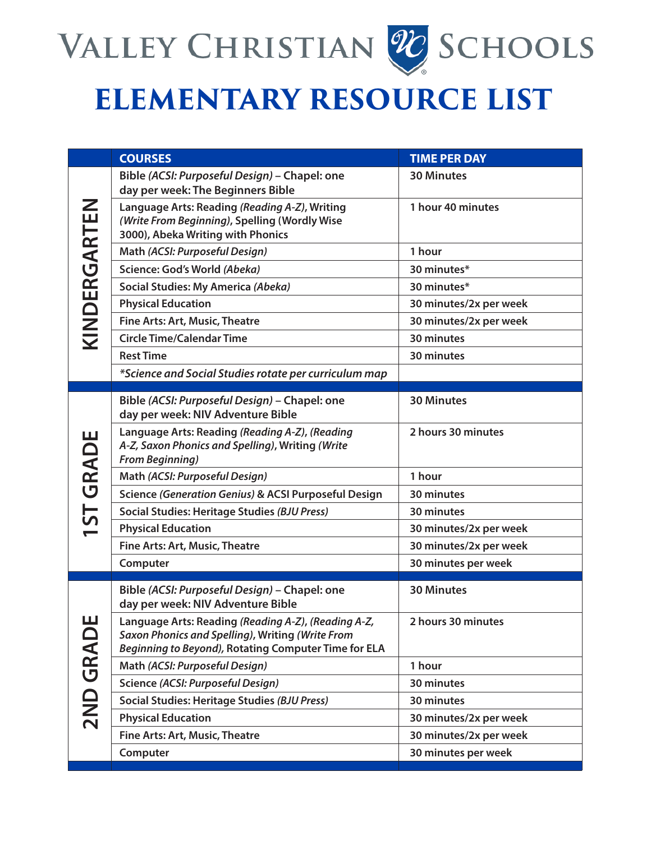

## **ELEMENTARY RESOURCE LIST**

|                  | <b>COURSES</b>                                                                                                                                                  | <b>TIME PER DAY</b>    |
|------------------|-----------------------------------------------------------------------------------------------------------------------------------------------------------------|------------------------|
| KINDERGARTEN     | Bible (ACSI: Purposeful Design) - Chapel: one<br>day per week: The Beginners Bible                                                                              | <b>30 Minutes</b>      |
|                  | Language Arts: Reading (Reading A-Z), Writing<br>(Write From Beginning), Spelling (Wordly Wise<br>3000), Abeka Writing with Phonics                             | 1 hour 40 minutes      |
|                  | Math (ACSI: Purposeful Design)                                                                                                                                  | 1 hour                 |
|                  | Science: God's World (Abeka)                                                                                                                                    | 30 minutes*            |
|                  | Social Studies: My America (Abeka)                                                                                                                              | 30 minutes*            |
|                  | <b>Physical Education</b>                                                                                                                                       | 30 minutes/2x per week |
|                  | Fine Arts: Art, Music, Theatre                                                                                                                                  | 30 minutes/2x per week |
|                  | <b>Circle Time/Calendar Time</b>                                                                                                                                | 30 minutes             |
|                  | <b>Rest Time</b>                                                                                                                                                | 30 minutes             |
|                  | *Science and Social Studies rotate per curriculum map                                                                                                           |                        |
|                  |                                                                                                                                                                 | <b>30 Minutes</b>      |
| <b>1ST GRADE</b> | Bible (ACSI: Purposeful Design) - Chapel: one<br>day per week: NIV Adventure Bible                                                                              |                        |
|                  | Language Arts: Reading (Reading A-Z), (Reading<br>A-Z, Saxon Phonics and Spelling), Writing (Write<br><b>From Beginning)</b>                                    | 2 hours 30 minutes     |
|                  | Math (ACSI: Purposeful Design)                                                                                                                                  | 1 hour                 |
|                  | Science (Generation Genius) & ACSI Purposeful Design                                                                                                            | 30 minutes             |
|                  | Social Studies: Heritage Studies (BJU Press)                                                                                                                    | 30 minutes             |
|                  | <b>Physical Education</b>                                                                                                                                       | 30 minutes/2x per week |
|                  | Fine Arts: Art, Music, Theatre                                                                                                                                  | 30 minutes/2x per week |
|                  | Computer                                                                                                                                                        | 30 minutes per week    |
| ш<br>2ND GRAD    | Bible (ACSI: Purposeful Design) - Chapel: one<br>day per week: NIV Adventure Bible                                                                              | <b>30 Minutes</b>      |
|                  | Language Arts: Reading (Reading A-Z), (Reading A-Z,<br>Saxon Phonics and Spelling), Writing (Write From<br>Beginning to Beyond), Rotating Computer Time for ELA | 2 hours 30 minutes     |
|                  | Math (ACSI: Purposeful Design)                                                                                                                                  | 1 hour                 |
|                  | Science (ACSI: Purposeful Design)                                                                                                                               | 30 minutes             |
|                  | Social Studies: Heritage Studies (BJU Press)                                                                                                                    | 30 minutes             |
|                  | <b>Physical Education</b>                                                                                                                                       | 30 minutes/2x per week |
|                  | <b>Fine Arts: Art, Music, Theatre</b>                                                                                                                           | 30 minutes/2x per week |
|                  | Computer                                                                                                                                                        | 30 minutes per week    |